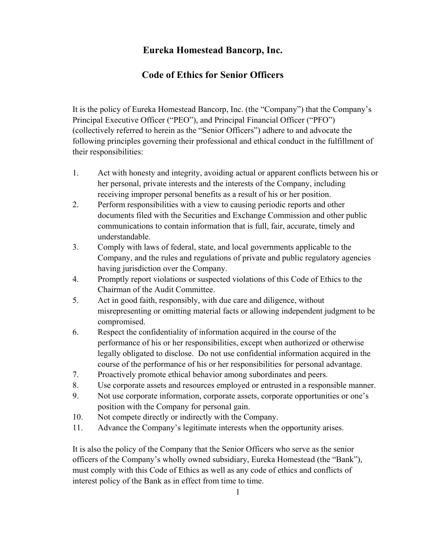## **Eureka Homestead Bancorp, Inc.**

## **Code of Ethics for Senior Officers**

It is the policy of Eureka Homestead Bancorp, Inc. (the "Company") that the Company's Principal Executive Officer ("PEO"), and Principal Financial Officer ("PFO") (collectively referred to herein as the "Senior Officers") adhere to and advocate the following principles governing their professional and ethical conduct in the fulfillment of their responsibilities:

- 1. Act with honesty and integrity, avoiding actual or apparent conflicts between his or her personal, private interests and the interests of the Company, including receiving improper personal benefits as a result of his or her position.
- 2. Perform responsibilities with a view to causing periodic reports and other documents filed with the Securities and Exchange Commission and other public communications to contain information that is full, fair, accurate, timely and understandable.
- 3. Comply with laws of federal, state, and local governments applicable to the Company, and the rules and regulations of private and public regulatory agencies having jurisdiction over the Company.
- 4. Promptly report violations or suspected violations of this Code of Ethics to the Chairman of the Audit Committee.
- 5. Act in good faith, responsibly, with due care and diligence, without misrepresenting or omitting material facts or allowing independent judgment to be compromised.
- 6. Respect the confidentiality of information acquired in the course of the performance of his or her responsibilities, except when authorized or otherwise legally obligated to disclose. Do not use confidential information acquired in the course of the performance of his or her responsibilities for personal advantage.
- 7. Proactively promote ethical behavior among subordinates and peers.
- 8. Use corporate assets and resources employed or entrusted in a responsible manner.
- 9. Not use corporate information, corporate assets, corporate opportunities or one's position with the Company for personal gain.
- 10. Not compete directly or indirectly with the Company.
- 11. Advance the Company's legitimate interests when the opportunity arises.

It is also the policy of the Company that the Senior Officers who serve as the senior officers of the Company's wholly owned subsidiary, Eureka Homestead (the "Bank"), must comply with this Code of Ethics as well as any code of ethics and conflicts of interest policy of the Bank as in effect from time to time.